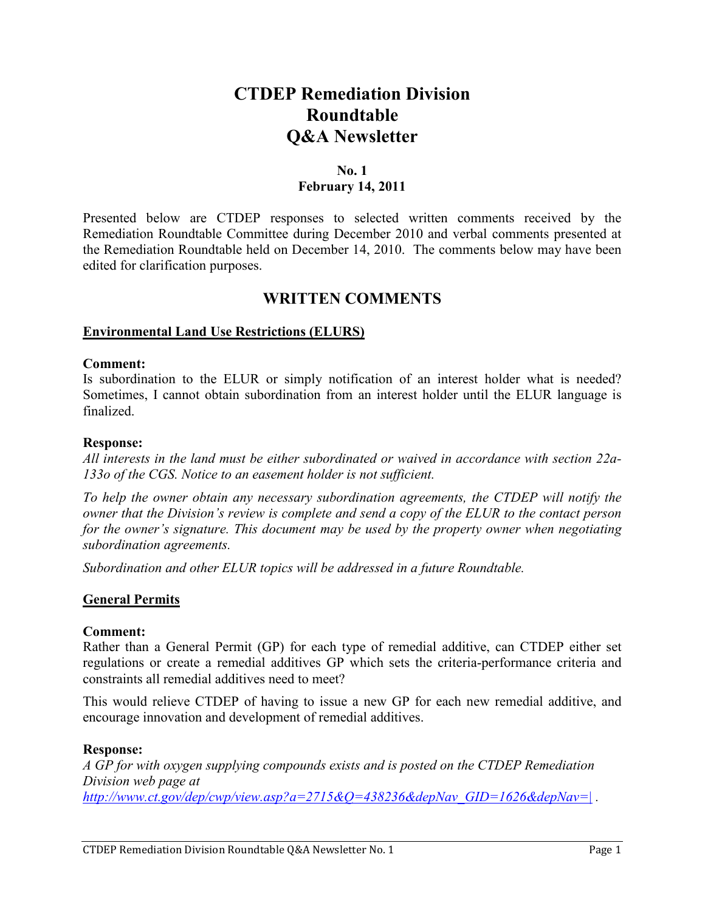# **CTDEP Remediation Division Roundtable Q&A Newsletter**

### **No. 1 February 14, 2011**

Presented below are CTDEP responses to selected written comments received by the Remediation Roundtable Committee during December 2010 and verbal comments presented at the Remediation Roundtable held on December 14, 2010. The comments below may have been edited for clarification purposes.

# **WRITTEN COMMENTS**

### **Environmental Land Use Restrictions (ELURS)**

#### **Comment:**

Is subordination to the ELUR or simply notification of an interest holder what is needed? Sometimes, I cannot obtain subordination from an interest holder until the ELUR language is finalized.

#### **Response:**

*All interests in the land must be either subordinated or waived in accordance with section 22a-133o of the CGS. Notice to an easement holder is not sufficient.* 

*To help the owner obtain any necessary subordination agreements, the CTDEP will notify the owner that the Division's review is complete and send a copy of the ELUR to the contact person for the owner's signature. This document may be used by the property owner when negotiating subordination agreements.* 

*Subordination and other ELUR topics will be addressed in a future Roundtable.* 

### **General Permits**

#### **Comment:**

Rather than a General Permit (GP) for each type of remedial additive, can CTDEP either set regulations or create a remedial additives GP which sets the criteria-performance criteria and constraints all remedial additives need to meet?

This would relieve CTDEP of having to issue a new GP for each new remedial additive, and encourage innovation and development of remedial additives.

#### **Response:**

*A GP for with oxygen supplying compounds exists and is posted on the CTDEP Remediation Division web page at [http://www.ct.gov/dep/cwp/view.asp?a=2715&Q=438236&depNav\\_GID=1626&depNav=|](http://www.ct.gov/dep/cwp/view.asp?a=2715&Q=438236&depNav_GID=1626&depNav=|) .*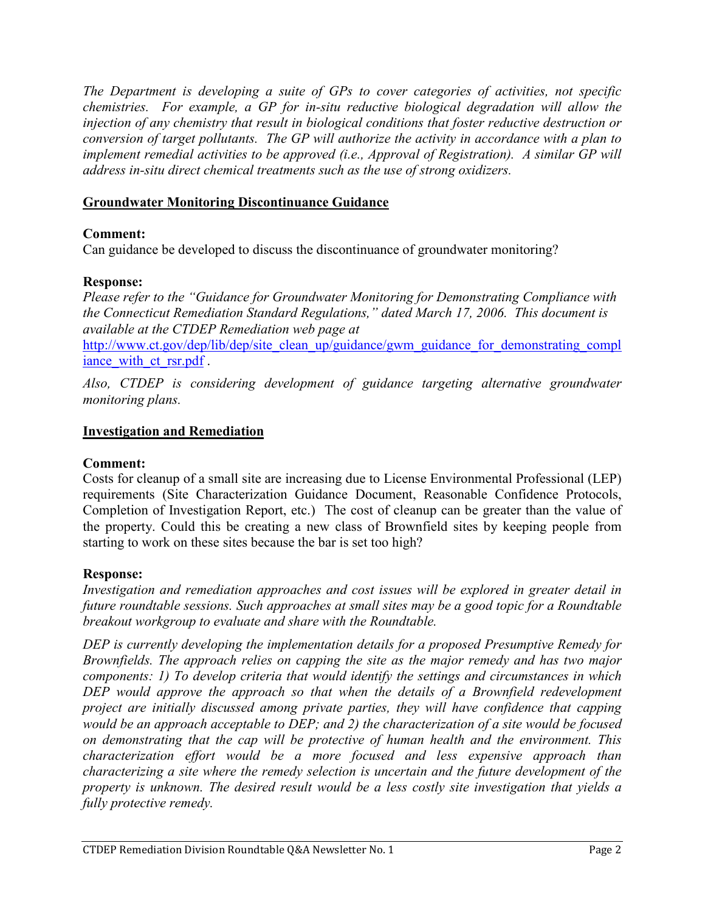*The Department is developing a suite of GPs to cover categories of activities, not specific chemistries. For example, a GP for in-situ reductive biological degradation will allow the injection of any chemistry that result in biological conditions that foster reductive destruction or conversion of target pollutants. The GP will authorize the activity in accordance with a plan to implement remedial activities to be approved (i.e., Approval of Registration). A similar GP will address in-situ direct chemical treatments such as the use of strong oxidizers.* 

# **Groundwater Monitoring Discontinuance Guidance**

# **Comment:**

Can guidance be developed to discuss the discontinuance of groundwater monitoring?

# **Response:**

*Please refer to the "Guidance for Groundwater Monitoring for Demonstrating Compliance with the Connecticut Remediation Standard Regulations," dated March 17, 2006. This document is available at the CTDEP Remediation web page at* [http://www.ct.gov/dep/lib/dep/site\\_clean\\_up/guidance/gwm\\_guidance\\_for\\_demonstrating\\_compl](http://www.ct.gov/dep/lib/dep/site_clean_up/guidance/gwm_guidance_for_demonstrating_compliance_with_ct_rsr.pdf) iance with ct rsr.pdf.

*Also, CTDEP is considering development of guidance targeting alternative groundwater monitoring plans.* 

### **Investigation and Remediation**

### **Comment:**

Costs for cleanup of a small site are increasing due to License Environmental Professional (LEP) requirements (Site Characterization Guidance Document, Reasonable Confidence Protocols, Completion of Investigation Report, etc.) The cost of cleanup can be greater than the value of the property. Could this be creating a new class of Brownfield sites by keeping people from starting to work on these sites because the bar is set too high?

### **Response:**

*Investigation and remediation approaches and cost issues will be explored in greater detail in future roundtable sessions. Such approaches at small sites may be a good topic for a Roundtable breakout workgroup to evaluate and share with the Roundtable.* 

*DEP is currently developing the implementation details for a proposed Presumptive Remedy for Brownfields. The approach relies on capping the site as the major remedy and has two major components: 1) To develop criteria that would identify the settings and circumstances in which DEP would approve the approach so that when the details of a Brownfield redevelopment project are initially discussed among private parties, they will have confidence that capping would be an approach acceptable to DEP; and 2) the characterization of a site would be focused on demonstrating that the cap will be protective of human health and the environment. This characterization effort would be a more focused and less expensive approach than characterizing a site where the remedy selection is uncertain and the future development of the property is unknown. The desired result would be a less costly site investigation that yields a fully protective remedy.*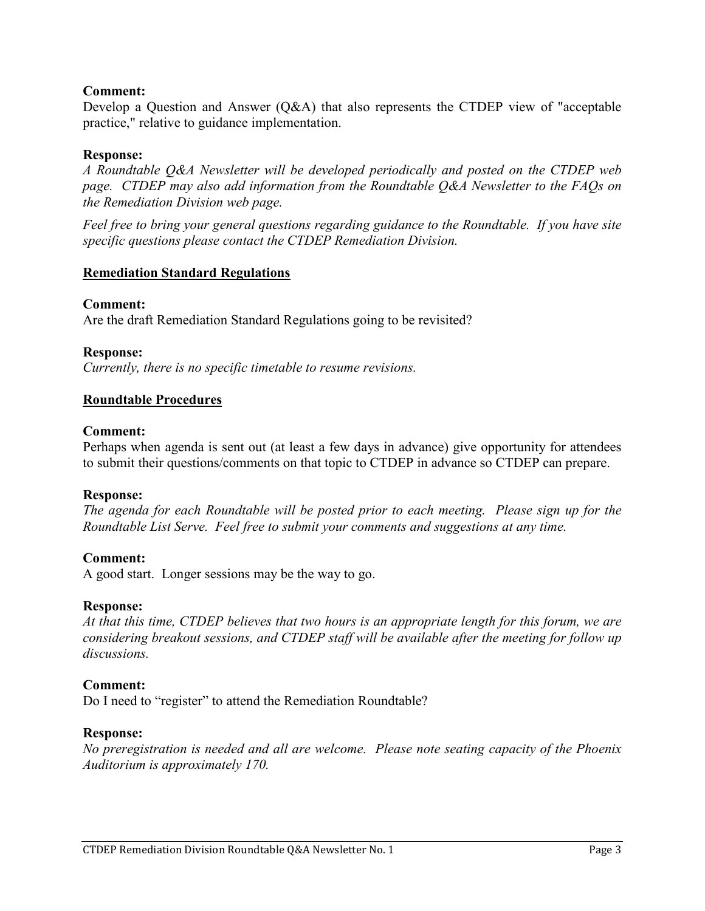### **Comment:**

Develop a Question and Answer (Q&A) that also represents the CTDEP view of "acceptable practice," relative to guidance implementation.

### **Response:**

*A Roundtable Q&A Newsletter will be developed periodically and posted on the CTDEP web page. CTDEP may also add information from the Roundtable Q&A Newsletter to the FAQs on the Remediation Division web page.* 

*Feel free to bring your general questions regarding guidance to the Roundtable. If you have site specific questions please contact the CTDEP Remediation Division.* 

### **Remediation Standard Regulations**

#### **Comment:**

Are the draft Remediation Standard Regulations going to be revisited?

### **Response:**

*Currently, there is no specific timetable to resume revisions.*

#### **Roundtable Procedures**

#### **Comment:**

Perhaps when agenda is sent out (at least a few days in advance) give opportunity for attendees to submit their questions/comments on that topic to CTDEP in advance so CTDEP can prepare.

#### **Response:**

*The agenda for each Roundtable will be posted prior to each meeting. Please sign up for the Roundtable List Serve. Feel free to submit your comments and suggestions at any time.* 

### **Comment:**

A good start. Longer sessions may be the way to go.

#### **Response:**

*At that this time, CTDEP believes that two hours is an appropriate length for this forum, we are considering breakout sessions, and CTDEP staff will be available after the meeting for follow up discussions.* 

#### **Comment:**

Do I need to "register" to attend the Remediation Roundtable?

#### **Response:**

*No preregistration is needed and all are welcome. Please note seating capacity of the Phoenix Auditorium is approximately 170.*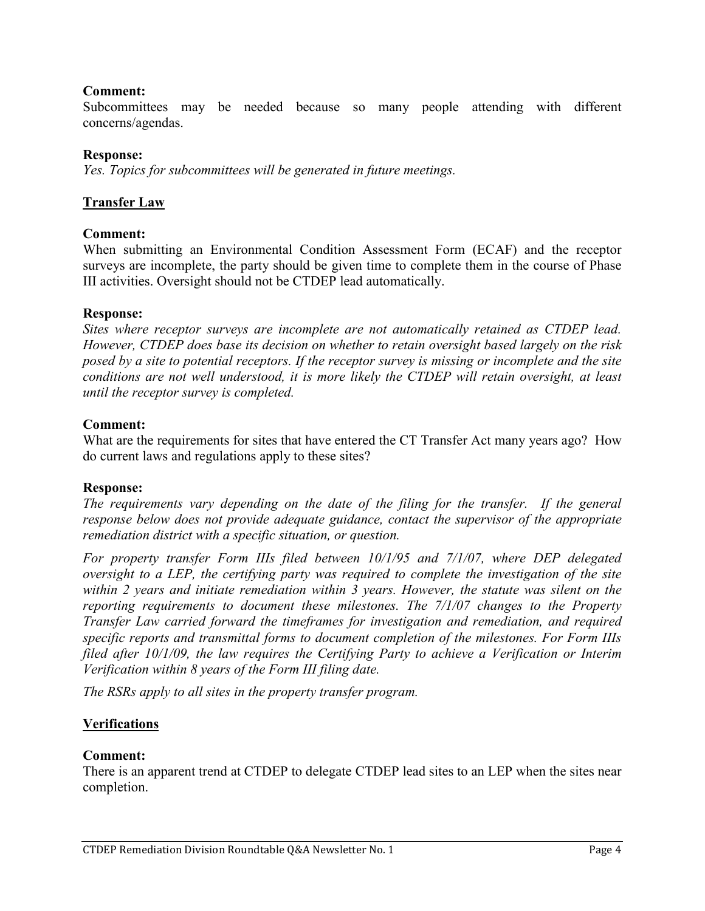### **Comment:**

Subcommittees may be needed because so many people attending with different concerns/agendas.

### **Response:**

*Yes. Topics for subcommittees will be generated in future meetings.* 

### **Transfer Law**

### **Comment:**

When submitting an Environmental Condition Assessment Form (ECAF) and the receptor surveys are incomplete, the party should be given time to complete them in the course of Phase III activities. Oversight should not be CTDEP lead automatically.

### **Response:**

*Sites where receptor surveys are incomplete are not automatically retained as CTDEP lead. However, CTDEP does base its decision on whether to retain oversight based largely on the risk posed by a site to potential receptors. If the receptor survey is missing or incomplete and the site conditions are not well understood, it is more likely the CTDEP will retain oversight, at least until the receptor survey is completed.*

### **Comment:**

What are the requirements for sites that have entered the CT Transfer Act many years ago? How do current laws and regulations apply to these sites?

### **Response:**

*The requirements vary depending on the date of the filing for the transfer. If the general response below does not provide adequate guidance, contact the supervisor of the appropriate remediation district with a specific situation, or question.* 

*For property transfer Form IIIs filed between 10/1/95 and 7/1/07, where DEP delegated oversight to a LEP, the certifying party was required to complete the investigation of the site within 2 years and initiate remediation within 3 years. However, the statute was silent on the reporting requirements to document these milestones. The 7/1/07 changes to the Property Transfer Law carried forward the timeframes for investigation and remediation, and required specific reports and transmittal forms to document completion of the milestones. For Form IIIs filed after 10/1/09, the law requires the Certifying Party to achieve a Verification or Interim Verification within 8 years of the Form III filing date.*

*The RSRs apply to all sites in the property transfer program.* 

### **Verifications**

### **Comment:**

There is an apparent trend at CTDEP to delegate CTDEP lead sites to an LEP when the sites near completion.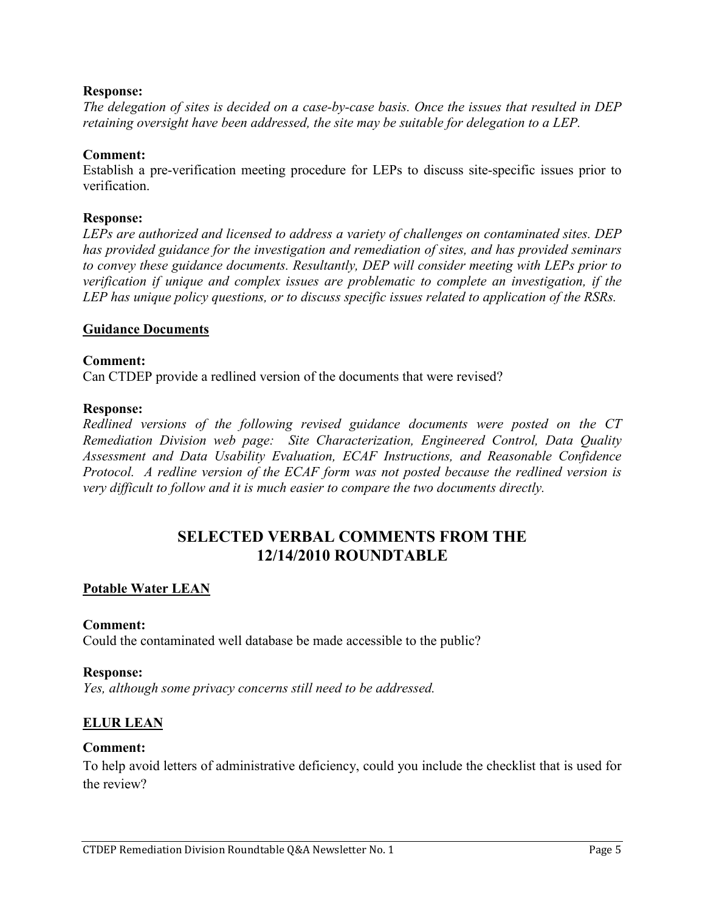### **Response:**

*The delegation of sites is decided on a case-by-case basis. Once the issues that resulted in DEP retaining oversight have been addressed, the site may be suitable for delegation to a LEP.* 

### **Comment:**

Establish a pre-verification meeting procedure for LEPs to discuss site-specific issues prior to verification.

### **Response:**

*LEPs are authorized and licensed to address a variety of challenges on contaminated sites. DEP has provided guidance for the investigation and remediation of sites, and has provided seminars to convey these guidance documents. Resultantly, DEP will consider meeting with LEPs prior to verification if unique and complex issues are problematic to complete an investigation, if the LEP has unique policy questions, or to discuss specific issues related to application of the RSRs.* 

### **Guidance Documents**

### **Comment:**

Can CTDEP provide a redlined version of the documents that were revised?

### **Response:**

*Redlined versions of the following revised guidance documents were posted on the CT Remediation Division web page: Site Characterization, Engineered Control, Data Quality Assessment and Data Usability Evaluation, ECAF Instructions, and Reasonable Confidence Protocol. A redline version of the ECAF form was not posted because the redlined version is very difficult to follow and it is much easier to compare the two documents directly.* 

# **SELECTED VERBAL COMMENTS FROM THE 12/14/2010 ROUNDTABLE**

# **Potable Water LEAN**

### **Comment:**

Could the contaminated well database be made accessible to the public?

### **Response:**

*Yes, although some privacy concerns still need to be addressed.* 

# **ELUR LEAN**

### **Comment:**

To help avoid letters of administrative deficiency, could you include the checklist that is used for the review?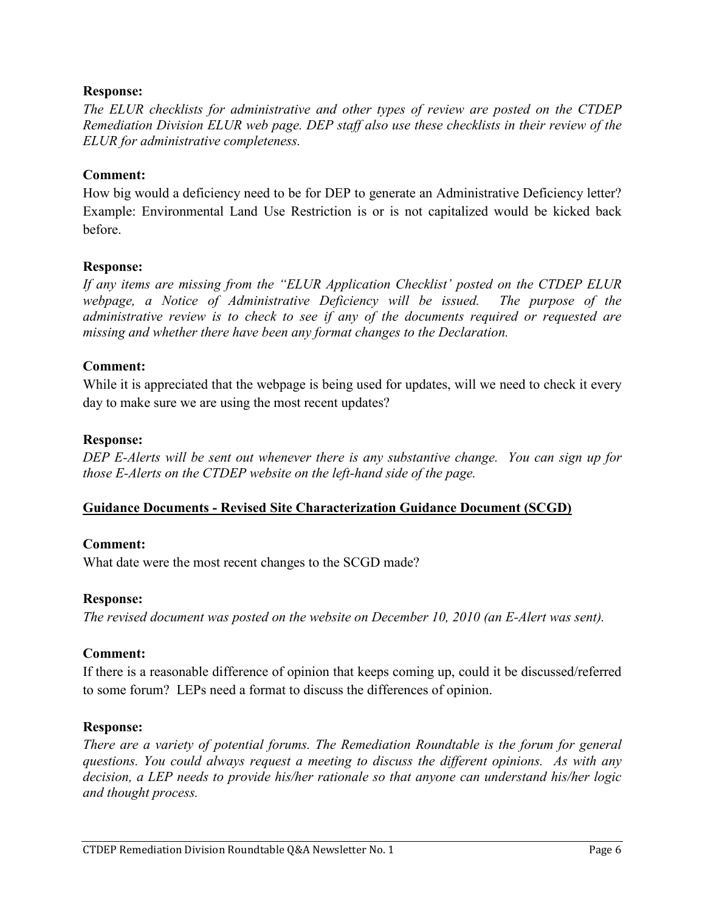### **Response:**

*The ELUR checklists for administrative and other types of review are posted on the CTDEP Remediation Division ELUR web page. DEP staff also use these checklists in their review of the ELUR for administrative completeness.* 

### **Comment:**

How big would a deficiency need to be for DEP to generate an Administrative Deficiency letter? Example: Environmental Land Use Restriction is or is not capitalized would be kicked back before.

### **Response:**

*If any items are missing from the "ELUR Application Checklist' posted on the CTDEP ELUR*  webpage, a Notice of Administrative Deficiency will be issued. The purpose of the *administrative review is to check to see if any of the documents required or requested are missing and whether there have been any format changes to the Declaration.* 

### **Comment:**

While it is appreciated that the webpage is being used for updates, will we need to check it every day to make sure we are using the most recent updates?

### **Response:**

*DEP E-Alerts will be sent out whenever there is any substantive change. You can sign up for those E-Alerts on the CTDEP website on the left-hand side of the page.* 

# **Guidance Documents - Revised Site Characterization Guidance Document (SCGD)**

### **Comment:**

What date were the most recent changes to the SCGD made?

### **Response:**

*The revised document was posted on the website on December 10, 2010 (an E-Alert was sent).* 

### **Comment:**

If there is a reasonable difference of opinion that keeps coming up, could it be discussed/referred to some forum? LEPs need a format to discuss the differences of opinion.

### **Response:**

*There are a variety of potential forums. The Remediation Roundtable is the forum for general questions. You could always request a meeting to discuss the different opinions. As with any decision, a LEP needs to provide his/her rationale so that anyone can understand his/her logic and thought process.*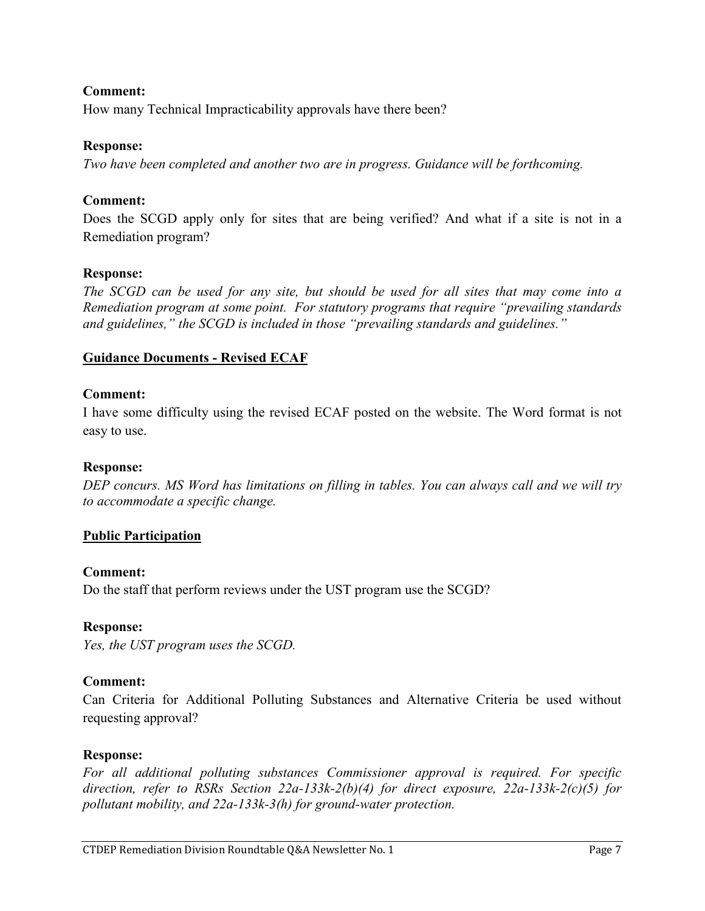# **Comment:**

How many Technical Impracticability approvals have there been?

# **Response:**

*Two have been completed and another two are in progress. Guidance will be forthcoming.* 

# **Comment:**

Does the SCGD apply only for sites that are being verified? And what if a site is not in a Remediation program?

# **Response:**

*The SCGD can be used for any site, but should be used for all sites that may come into a Remediation program at some point. For statutory programs that require "prevailing standards and guidelines," the SCGD is included in those "prevailing standards and guidelines."*

# **Guidance Documents - Revised ECAF**

# **Comment:**

I have some difficulty using the revised ECAF posted on the website. The Word format is not easy to use.

# **Response:**

*DEP concurs. MS Word has limitations on filling in tables. You can always call and we will try to accommodate a specific change.* 

# **Public Participation**

# **Comment:**

Do the staff that perform reviews under the UST program use the SCGD?

# **Response:**

*Yes, the UST program uses the SCGD.* 

# **Comment:**

Can Criteria for Additional Polluting Substances and Alternative Criteria be used without requesting approval?

# **Response:**

*For all additional polluting substances Commissioner approval is required. For specific direction, refer to RSRs Section 22a-133k-2(b)(4) for direct exposure, 22a-133k-2(c)(5) for pollutant mobility, and 22a-133k-3(h) for ground-water protection.*